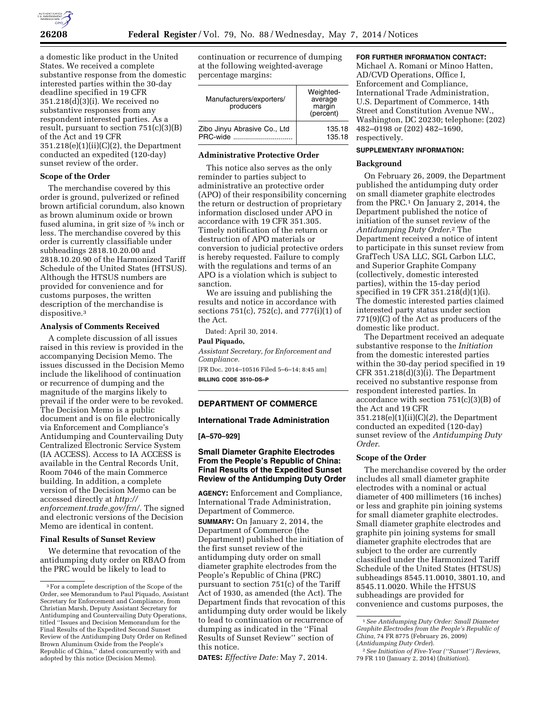

a domestic like product in the United States. We received a complete substantive response from the domestic interested parties within the 30-day deadline specified in 19 CFR 351.218(d)(3)(i). We received no substantive responses from any respondent interested parties. As a result, pursuant to section  $751(c)(3)(B)$ of the Act and 19 CFR  $351.218(e)(1)(ii)(C)(2)$ , the Department conducted an expedited (120-day) sunset review of the order.

## **Scope of the Order**

The merchandise covered by this order is ground, pulverized or refined brown artificial corundum, also known as brown aluminum oxide or brown fused alumina, in grit size of 3⁄8 inch or less. The merchandise covered by this order is currently classifiable under subheadings 2818.10.20.00 and 2818.10.20.90 of the Harmonized Tariff Schedule of the United States (HTSUS). Although the HTSUS numbers are provided for convenience and for customs purposes, the written description of the merchandise is dispositive.3

#### **Analysis of Comments Received**

A complete discussion of all issues raised in this review is provided in the accompanying Decision Memo. The issues discussed in the Decision Memo include the likelihood of continuation or recurrence of dumping and the magnitude of the margins likely to prevail if the order were to be revoked. The Decision Memo is a public document and is on file electronically via Enforcement and Compliance's Antidumping and Countervailing Duty Centralized Electronic Service System (IA ACCESS). Access to IA ACCESS is available in the Central Records Unit, Room 7046 of the main Commerce building. In addition, a complete version of the Decision Memo can be accessed directly at *[http://](http://enforcement.trade.gov/frn/) [enforcement.trade.gov/frn/.](http://enforcement.trade.gov/frn/)* The signed and electronic versions of the Decision Memo are identical in content.

#### **Final Results of Sunset Review**

We determine that revocation of the antidumping duty order on RBAO from the PRC would be likely to lead to

continuation or recurrence of dumping at the following weighted-average percentage margins:

| Manufacturers/exporters/<br>producers | Weighted-<br>average<br>margin<br>(percent) |
|---------------------------------------|---------------------------------------------|
| Zibo Jinyu Abrasive Co., Ltd          | 135.18                                      |
| PRC-wide                              | 135.18                                      |

## **Administrative Protective Order**

This notice also serves as the only reminder to parties subject to administrative an protective order (APO) of their responsibility concerning the return or destruction of proprietary information disclosed under APO in accordance with 19 CFR 351.305. Timely notification of the return or destruction of APO materials or conversion to judicial protective orders is hereby requested. Failure to comply with the regulations and terms of an APO is a violation which is subject to sanction.

We are issuing and publishing the results and notice in accordance with sections 751(c), 752(c), and 777(i)(1) of the Act.

Dated: April 30, 2014.

#### **Paul Piquado,**

*Assistant Secretary, for Enforcement and Compliance.* 

[FR Doc. 2014–10516 Filed 5–6–14; 8:45 am] **BILLING CODE 3510–DS–P** 

## **DEPARTMENT OF COMMERCE**

## **International Trade Administration**

## **[A–570–929]**

# **Small Diameter Graphite Electrodes From the People's Republic of China: Final Results of the Expedited Sunset Review of the Antidumping Duty Order**

**AGENCY:** Enforcement and Compliance, International Trade Administration, Department of Commerce.

**SUMMARY:** On January 2, 2014, the Department of Commerce (the Department) published the initiation of the first sunset review of the antidumping duty order on small diameter graphite electrodes from the People's Republic of China (PRC) pursuant to section 751(c) of the Tariff Act of 1930, as amended (the Act). The Department finds that revocation of this antidumping duty order would be likely to lead to continuation or recurrence of dumping as indicated in the ''Final Results of Sunset Review'' section of this notice.

**DATES:** *Effective Date:* May 7, 2014.

## **FOR FURTHER INFORMATION CONTACT:**

Michael A. Romani or Minoo Hatten, AD/CVD Operations, Office I, Enforcement and Compliance, International Trade Administration, U.S. Department of Commerce, 14th Street and Constitution Avenue NW., Washington, DC 20230; telephone: (202) 482–0198 or (202) 482–1690, respectively.

#### **SUPPLEMENTARY INFORMATION:**

#### **Background**

On February 26, 2009, the Department published the antidumping duty order on small diameter graphite electrodes from the PRC.1 On January 2, 2014, the Department published the notice of initiation of the sunset review of the *Antidumping Duty Order*.2 The Department received a notice of intent to participate in this sunset review from GrafTech USA LLC, SGL Carbon LLC, and Superior Graphite Company (collectively, domestic interested parties), within the 15-day period specified in 19 CFR 351.218(d)(1)(i). The domestic interested parties claimed interested party status under section 771(9)(C) of the Act as producers of the domestic like product.

The Department received an adequate substantive response to the *Initiation*  from the domestic interested parties within the 30-day period specified in 19 CFR 351.218 $(d)(3)(i)$ . The Department received no substantive response from respondent interested parties. In accordance with section 751(c)(3)(B) of the Act and 19 CFR 351.218(e)(1)(ii)(C)(*2*), the Department conducted an expedited (120-day) sunset review of the *Antidumping Duty Order.* 

## **Scope of the Order**

The merchandise covered by the order includes all small diameter graphite electrodes with a nominal or actual diameter of 400 millimeters (16 inches) or less and graphite pin joining systems for small diameter graphite electrodes. Small diameter graphite electrodes and graphite pin joining systems for small diameter graphite electrodes that are subject to the order are currently classified under the Harmonized Tariff Schedule of the United States (HTSUS) subheadings 8545.11.0010, 3801.10, and 8545.11.0020. While the HTSUS subheadings are provided for convenience and customs purposes, the

<sup>3</sup>For a complete description of the Scope of the Order, see Memorandum to Paul Piquado, Assistant Secretary for Enforcement and Compliance, from Christian Marsh, Deputy Assistant Secretary for Antidumping and Countervailing Duty Operations, titled ''Issues and Decision Memorandum for the Final Results of the Expedited Second Sunset Review of the Antidumping Duty Order on Refined Brown Aluminum Oxide from the People's Republic of China,'' dated concurrently with and adopted by this notice (Decision Memo).

<sup>1</sup>*See Antidumping Duty Order: Small Diameter Graphite Electrodes from the People's Republic of China,* 74 FR 8775 (February 26, 2009) (*Antidumping Duty Order*).

<sup>2</sup>*See Initiation of Five-Year (''Sunset'') Reviews,*  79 FR 110 (January 2, 2014) (*Initiation*).